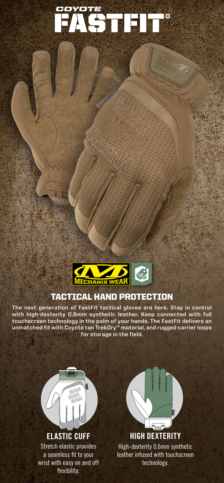

FASTFIT® *COYOTE*

## TACTICAL HAND PROTECTION

**The next generation of FastFit tactical gloves are here. Stay in control with high-dexterity 0.6mm synthetic leather. Keep connected with full touchscreen technology in the palm of your hands. The FastFit delivers an unmatched fit with Coyote tan TrekDry™ material, and rugged carrier loops for storage in the field.**



flexibility.



**HIGH DEXTERITY** High-dexterity 0.6mm synthetic leather infused with touchscreen technology.